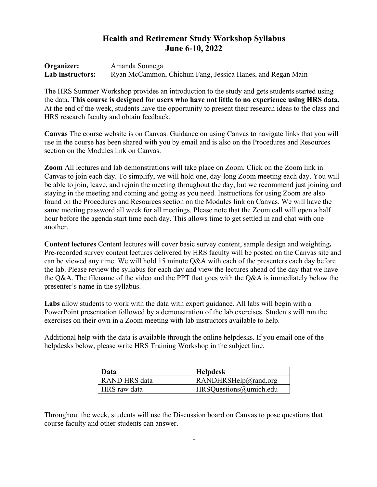# **Health and Retirement Study Workshop Syllabus June 6-10, 2022**

| Organizer:       | Amanda Sonnega                                             |
|------------------|------------------------------------------------------------|
| Lab instructors: | Ryan McCammon, Chichun Fang, Jessica Hanes, and Regan Main |

The HRS Summer Workshop provides an introduction to the study and gets students started using the data. **This course is designed for users who have not little to no experience using HRS data.** At the end of the week, students have the opportunity to present their research ideas to the class and HRS research faculty and obtain feedback.

**Canvas** The course website is on Canvas. Guidance on using Canvas to navigate links that you will use in the course has been shared with you by email and is also on the Procedures and Resources section on the Modules link on Canvas.

**Zoom** All lectures and lab demonstrations will take place on Zoom. Click on the Zoom link in Canvas to join each day. To simplify, we will hold one, day-long Zoom meeting each day. You will be able to join, leave, and rejoin the meeting throughout the day, but we recommend just joining and staying in the meeting and coming and going as you need. Instructions for using Zoom are also found on the Procedures and Resources section on the Modules link on Canvas. We will have the same meeting password all week for all meetings. Please note that the Zoom call will open a half hour before the agenda start time each day. This allows time to get settled in and chat with one another.

**Content lectures** Content lectures will cover basic survey content, sample design and weighting**.**  Pre-recorded survey content lectures delivered by HRS faculty will be posted on the Canvas site and can be viewed any time. We will hold 15 minute Q&A with each of the presenters each day before the lab. Please review the syllabus for each day and view the lectures ahead of the day that we have the Q&A. The filename of the video and the PPT that goes with the Q&A is immediately below the presenter's name in the syllabus.

**Labs** allow students to work with the data with expert guidance. All labs will begin with a PowerPoint presentation followed by a demonstration of the lab exercises. Students will run the exercises on their own in a Zoom meeting with lab instructors available to help.

Additional help with the data is available through the online helpdesks. If you email one of the helpdesks below, please write HRS Training Workshop in the subject line.

| <b>Data</b>   | <b>Helpdesk</b>        |
|---------------|------------------------|
| RAND HRS data | RANDHRSHelp@rand.org   |
| HRS raw data  | HRSQuestions@umich.edu |

Throughout the week, students will use the Discussion board on Canvas to pose questions that course faculty and other students can answer.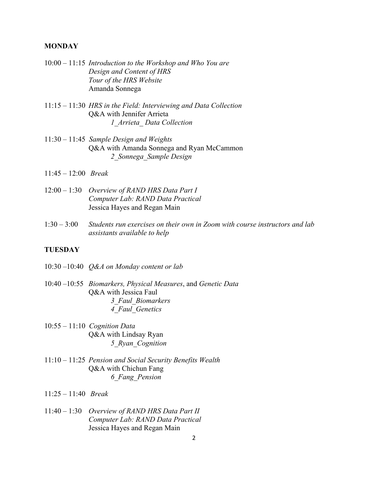# **MONDAY**

- 10:00 11:15 *Introduction to the Workshop and Who You are Design and Content of HRS Tour of the HRS Website* Amanda Sonnega
- 11:15 11:30 *HRS in the Field: Interviewing and Data Collection*  Q&A with Jennifer Arrieta *1\_Arrieta\_ Data Collection*
- 11:30 11:45 *Sample Design and Weights* Q&A with Amanda Sonnega and Ryan McCammon *2\_Sonnega\_Sample Design*
- 11:45 12:00 *Break*
- 12:00 1:30 *Overview of RAND HRS Data Part I Computer Lab: RAND Data Practical* Jessica Hayes and Regan Main
- 1:30 3:00 *Students run exercises on their own in Zoom with course instructors and lab assistants available to help*

# **TUESDAY**

- 10:30 –10:40 *Q&A on Monday content or lab*
- 10:40 –10:55 *Biomarkers, Physical Measures*, and *Genetic Data* Q&A with Jessica Faul *3\_Faul\_Biomarkers 4\_Faul\_Genetics*
- 10:55 11:10 *Cognition Data* Q&A with Lindsay Ryan *5\_Ryan\_Cognition*
- 11:10 11:25 *Pension and Social Security Benefits Wealth*  Q&A with Chichun Fang *6\_Fang\_Pension*
- 11:25 11:40 *Break*
- 11:40 1:30 *Overview of RAND HRS Data Part II Computer Lab: RAND Data Practical* Jessica Hayes and Regan Main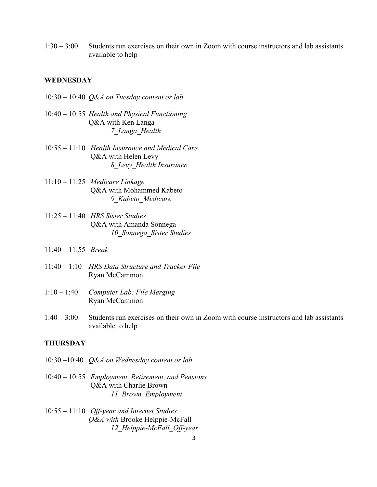1:30 – 3:00 Students run exercises on their own in Zoom with course instructors and lab assistants available to help

### **WEDNESDAY**

- 10:30 10:40 *Q&A on Tuesday content or lab*
- 10:40 10:55 *Health and Physical Functioning*  Q&A with Ken Langa *7\_Langa\_Health*
- 10:55 11:10 *Health Insurance and Medical Care*  Q&A with Helen Levy *8\_Levy\_Health Insurance*
- 11:10 11:25 *Medicare Linkage* Q&A with Mohammed Kabeto *9\_Kabeto\_Medicare*
- 11:25 11:40 *HRS Sister Studies* Q&A with Amanda Sonnega *10\_Sonnega\_Sister Studies*
- 11:40 11:55 *Break*
- 11:40 1:10 *HRS Data Structure and Tracker File* Ryan McCammon
- 1:10 1:40 *Computer Lab: File Merging* Ryan McCammon
- 1:40 3:00 Students run exercises on their own in Zoom with course instructors and lab assistants available to help

# **THURSDAY**

- 10:30 –10:40 *Q&A on Wednesday content or lab*
- 10:40 10:55 *Employment, Retirement, and Pensions*  Q&A with Charlie Brown *11\_Brown\_Employment*
- 10:55 11:10 *Off-year and Internet Studies Q&A with* Brooke Helppie-McFall *12\_Helppie-McFall\_Off-year*